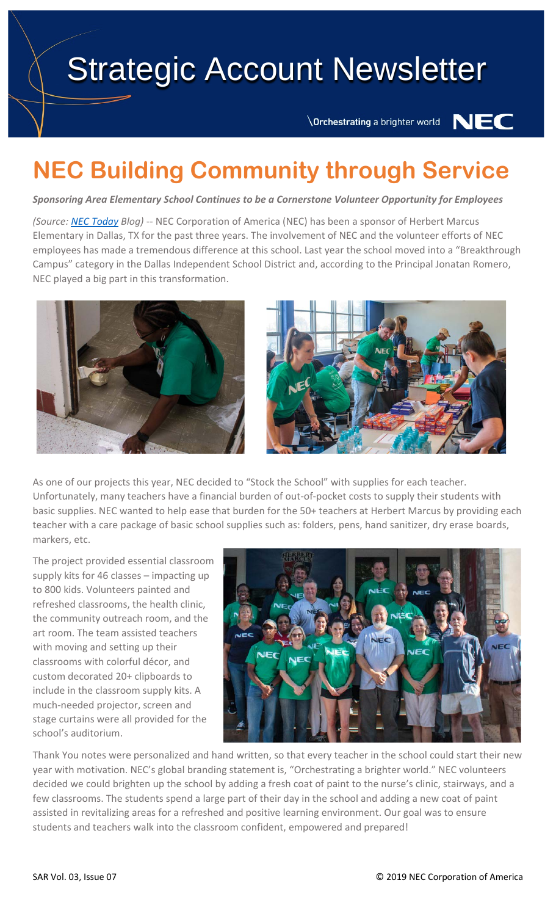# Strategic Account Newsletter

Orchestrating a brighter world

NEC

# **NEC Building Community through Service**

*Sponsoring Area Elementary School Continues to be a Cornerstone Volunteer Opportunity for Employees*

*(Source: [NEC Today](https://nectoday.com/nec-building-community-through-service/) Blog)* -- NEC Corporation of America (NEC) has been a sponsor of Herbert Marcus Elementary in Dallas, TX for the past three years. The involvement of NEC and the volunteer efforts of NEC employees has made a tremendous difference at this school. Last year the school moved into a "Breakthrough Campus" category in the Dallas Independent School District and, according to the Principal Jonatan Romero, NEC played a big part in this transformation.





As one of our projects this year, NEC decided to "Stock the School" with supplies for each teacher. Unfortunately, many teachers have a financial burden of out-of-pocket costs to supply their students with basic supplies. NEC wanted to help ease that burden for the 50+ teachers at Herbert Marcus by providing each teacher with a care package of basic school supplies such as: folders, pens, hand sanitizer, dry erase boards, markers, etc.

The project provided essential classroom supply kits for 46 classes – impacting up to 800 kids. Volunteers painted and refreshed classrooms, the health clinic, the community outreach room, and the art room. The team assisted teachers with moving and setting up their classrooms with colorful décor, and custom decorated 20+ clipboards to include in the classroom supply kits. A much-needed projector, screen and stage curtains were all provided for the school's auditorium.



Thank You notes were personalized and hand written, so that every teacher in the school could start their new year with motivation. NEC's global branding statement is, "Orchestrating a brighter world." NEC volunteers decided we could brighten up the school by adding a fresh coat of paint to the nurse's clinic, stairways, and a few classrooms. The students spend a large part of their day in the school and adding a new coat of paint assisted in revitalizing areas for a refreshed and positive learning environment. Our goal was to ensure students and teachers walk into the classroom confident, empowered and prepared!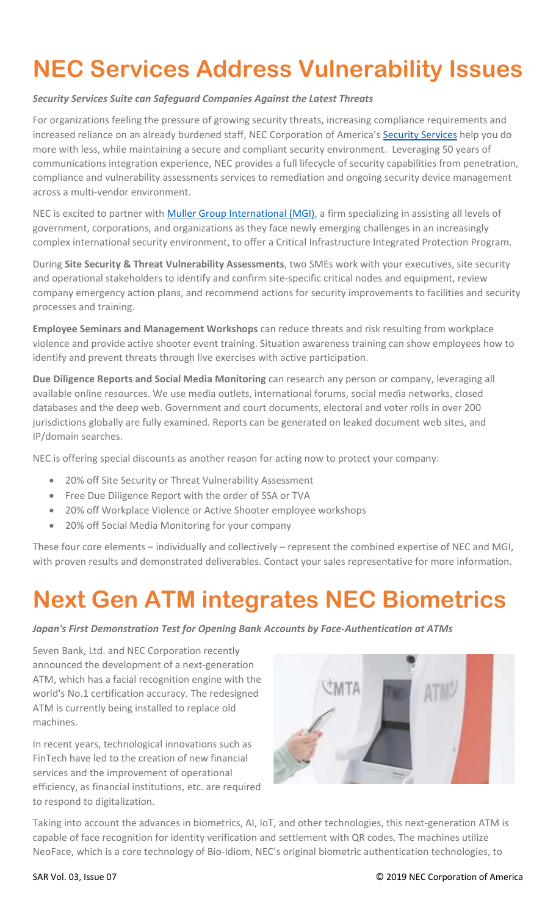## **NEC Services Address Vulnerability Issues**

### *Security Services Suite can Safeguard Companies Against the Latest Threats*

For organizations feeling the pressure of growing security threats, increasing compliance requirements and increased reliance on an already burdened staff, NEC Corporation of America's [Security Services](https://www.necam.com/services/managed_security/) help you do more with less, while maintaining a secure and compliant security environment. Leveraging 50 years of communications integration experience, NEC provides a full lifecycle of security capabilities from penetration, compliance and vulnerability assessments services to remediation and ongoing security device management across a multi-vendor environment.

NEC is excited to partner with **Muller Group International (MGI)**, a firm specializing in assisting all levels of government, corporations, and organizations as they face newly emerging challenges in an increasingly complex international security environment, to offer a Critical Infrastructure Integrated Protection Program.

During **Site Security & Threat Vulnerability Assessments**, two SMEs work with your executives, site security and operational stakeholders to identify and confirm site-specific critical nodes and equipment, review company emergency action plans, and recommend actions for security improvements to facilities and security processes and training.

**Employee Seminars and Management Workshops** can reduce threats and risk resulting from workplace violence and provide active shooter event training. Situation awareness training can show employees how to identify and prevent threats through live exercises with active participation.

**Due Diligence Reports and Social Media Monitoring** can research any person or company, leveraging all available online resources. We use media outlets, international forums, social media networks, closed databases and the deep web. Government and court documents, electoral and voter rolls in over 200 jurisdictions globally are fully examined. Reports can be generated on leaked document web sites, and IP/domain searches.

NEC is offering special discounts as another reason for acting now to protect your company:

- 20% off Site Security or Threat Vulnerability Assessment
- Free Due Diligence Report with the order of SSA or TVA
- 20% off Workplace Violence or Active Shooter employee workshops
- 20% off Social Media Monitoring for your company

These four core elements – individually and collectively – represent the combined expertise of NEC and MGI, with proven results and demonstrated deliverables. Contact your sales representative for more information.

### **Next Gen ATM integrates NEC Biometrics**

*Japan's First Demonstration Test for Opening Bank Accounts by Face-Authentication at ATMs*

Seven Bank, Ltd. and NEC Corporation recently announced the development of a next-generation ATM, which has a facial recognition engine with the world's No.1 certification accuracy. The redesigned ATM is currently being installed to replace old machines.

In recent years, technological innovations such as FinTech have led to the creation of new financial services and the improvement of operational efficiency, as financial institutions, etc. are required to respond to digitalization.



Taking into account the advances in biometrics, AI, IoT, and other technologies, this next-generation ATM is capable of face recognition for identity verification and settlement with QR codes. The machines utilize NeoFace, which is a core technology of Bio-Idiom, NEC's original biometric authentication technologies, to